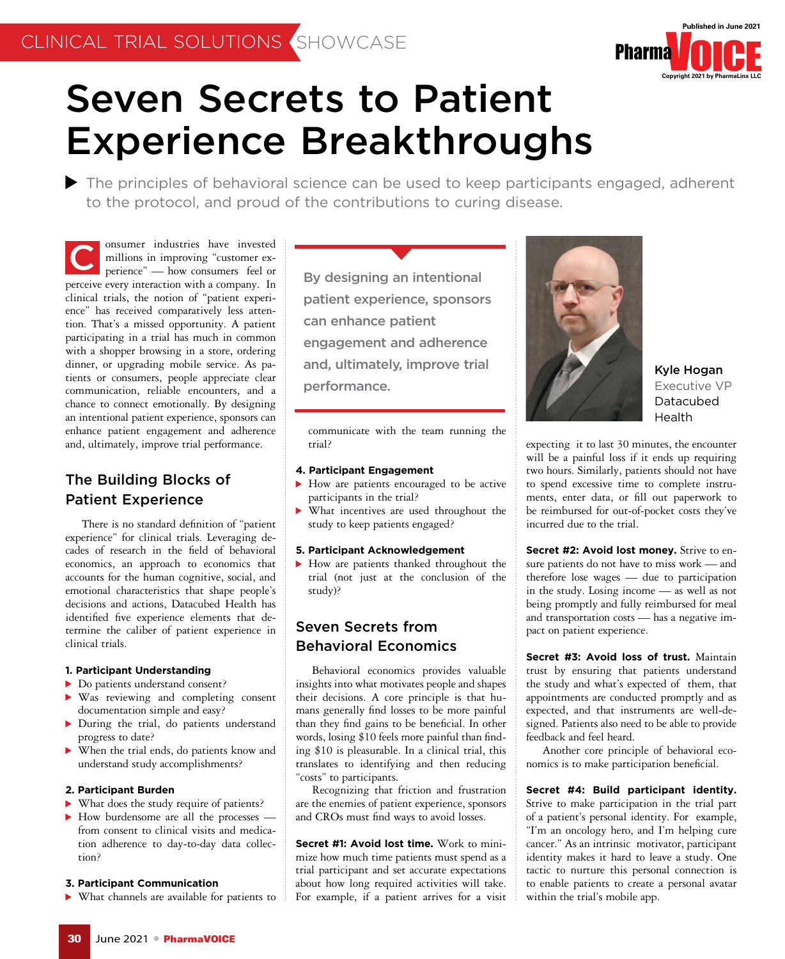

# Seven Secrets to Patient Experience Breakthroughs

The principles of behavioral science can be used to keep participants engaged, adherent to the protocol, and proud of the contributions to curing disease.

onsumer industries have invested millions in improving "customer experience" — how consumers feel or perceive every interaction with a company. In clinical trials, the notion of "patient experience" has received comparatively less attention. That's a missed opportunity. A patient participating in a trial has much in common with a shopper browsing in a store, ordering dinner, or upgrading mobile service. As patients or consumers, people appreciate clear communication, reliable encounters, and a chance to connect emotionally. By designing an intentional patient experience, sponsors can enhance patient engagement and adherence and, ultimately, improve trial performance. C

# The Building Blocks of Patient Experience

There is no standard definition of "patient experience" for clinical trials. Leveraging decades of research in the field of behavioral economics, an approach to economics that accounts for the human cognitive, social, and emotional characteristics that shape people's decisions and actions, Datacubed Health has identified five experience elements that determine the caliber of patient experience in clinical trials.

#### **1. Participant Understanding**

- Do patients understand consent?
- Was reviewing and completing consent documentation simple and easy?
- During the trial, do patients understand progress to date?
- When the trial ends, do patients know and understand study accomplishments?

#### **2. Participant Burden**

- What does the study require of patients?
- How burdensome are all the processes from consent to clinical visits and medication adherence to day-to-day data collection?

## **3. Participant Communication**

What channels are available for patients to

By designing an intentional patient experience, sponsors can enhance patient engagement and adherence and, ultimately, improve trial performance.

communicate with the team running the trial?

#### **4. Participant Engagement**

- How are patients encouraged to be active participants in the trial?
- What incentives are used throughout the study to keep patients engaged?

## **5. Participant Acknowledgement**

How are patients thanked throughout the trial (not just at the conclusion of the study)?

## Seven Secrets from Behavioral Economics

Behavioral economics provides valuable insights into what motivates people and shapes their decisions. A core principle is that humans generally find losses to be more painful than they find gains to be beneficial. In other words, losing \$10 feels more painful than finding \$10 is pleasurable. In a clinical trial, this translates to identifying and then reducing "costs" to participants.

Recognizing that friction and frustration are the enemies of patient experience, sponsors and CROs must find ways to avoid losses.

**Secret #1: Avoid lost time.** Work to minimize how much time patients must spend as a trial participant and set accurate expectations about how long required activities will take. For example, if a patient arrives for a visit



Kyle Hogan Executive VP Datacubed **Health** 

expecting it to last 30 minutes, the encounter will be a painful loss if it ends up requiring two hours. Similarly, patients should not have to spend excessive time to complete instruments, enter data, or fill out paperwork to be reimbursed for out-of-pocket costs they've incurred due to the trial.

**Secret #2: Avoid lost money.** Strive to ensure patients do not have to miss work — and therefore lose wages — due to participation in the study. Losing income — as well as not being promptly and fully reimbursed for meal and transportation costs — has a negative impact on patient experience.

**Secret #3: Avoid loss of trust.** Maintain trust by ensuring that patients understand the study and what's expected of them, that appointments are conducted promptly and as expected, and that instruments are well-designed. Patients also need to be able to provide feedback and feel heard.

Another core principle of behavioral economics is to make participation beneficial.

**Secret #4: Build participant identity.**  Strive to make participation in the trial part of a patient's personal identity. For example, "I'm an oncology hero, and I'm helping cure cancer." As an intrinsic motivator, participant identity makes it hard to leave a study. One tactic to nurture this personal connection is to enable patients to create a personal avatar within the trial's mobile app.